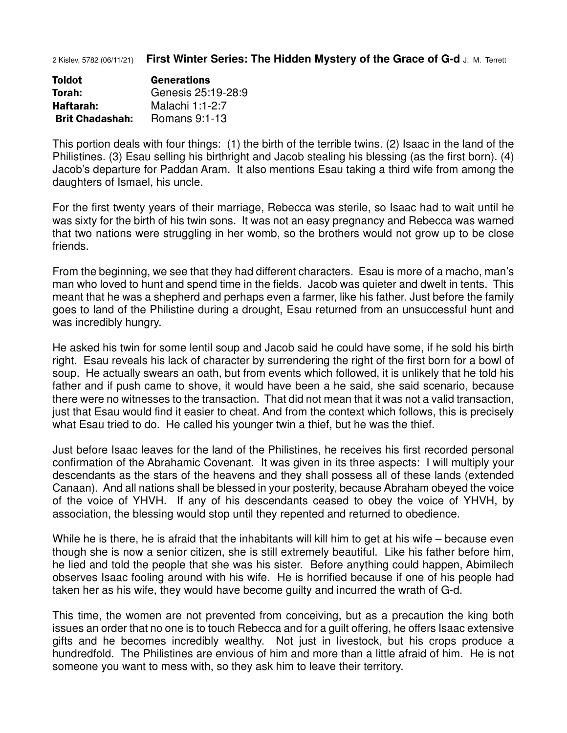2 Kislev, 5782 (06/11/21) **First Winter Series: The Hidden Mystery of the Grace of G-d** J. M. Terrett

| <b>Toldot</b>          | <b>Generations</b> |
|------------------------|--------------------|
| Torah:                 | Genesis 25:19-28:9 |
| Haftarah:              | Malachi 1:1-2:7    |
| <b>Brit Chadashah:</b> | Romans 9:1-13      |

This portion deals with four things: (1) the birth of the terrible twins. (2) Isaac in the land of the Philistines. (3) Esau selling his birthright and Jacob stealing his blessing (as the first born). (4) Jacob's departure for Paddan Aram. It also mentions Esau taking a third wife from among the daughters of Ismael, his uncle.

For the first twenty years of their marriage, Rebecca was sterile, so Isaac had to wait until he was sixty for the birth of his twin sons. It was not an easy pregnancy and Rebecca was warned that two nations were struggling in her womb, so the brothers would not grow up to be close friends.

From the beginning, we see that they had different characters. Esau is more of a macho, man's man who loved to hunt and spend time in the fields. Jacob was quieter and dwelt in tents. This meant that he was a shepherd and perhaps even a farmer, like his father. Just before the family goes to land of the Philistine during a drought, Esau returned from an unsuccessful hunt and was incredibly hungry.

He asked his twin for some lentil soup and Jacob said he could have some, if he sold his birth right. Esau reveals his lack of character by surrendering the right of the first born for a bowl of soup. He actually swears an oath, but from events which followed, it is unlikely that he told his father and if push came to shove, it would have been a he said, she said scenario, because there were no witnesses to the transaction. That did not mean that it was not a valid transaction, just that Esau would find it easier to cheat. And from the context which follows, this is precisely what Esau tried to do. He called his younger twin a thief, but he was the thief.

Just before Isaac leaves for the land of the Philistines, he receives his first recorded personal confirmation of the Abrahamic Covenant. It was given in its three aspects: I will multiply your descendants as the stars of the heavens and they shall possess all of these lands (extended Canaan). And all nations shall be blessed in your posterity, because Abraham obeyed the voice of the voice of YHVH. If any of his descendants ceased to obey the voice of YHVH, by association, the blessing would stop until they repented and returned to obedience.

While he is there, he is afraid that the inhabitants will kill him to get at his wife – because even though she is now a senior citizen, she is still extremely beautiful. Like his father before him, he lied and told the people that she was his sister. Before anything could happen, Abimilech observes Isaac fooling around with his wife. He is horrified because if one of his people had taken her as his wife, they would have become guilty and incurred the wrath of G-d.

This time, the women are not prevented from conceiving, but as a precaution the king both issues an order that no one is to touch Rebecca and for a guilt offering, he offers Isaac extensive gifts and he becomes incredibly wealthy. Not just in livestock, but his crops produce a hundredfold. The Philistines are envious of him and more than a little afraid of him. He is not someone you want to mess with, so they ask him to leave their territory.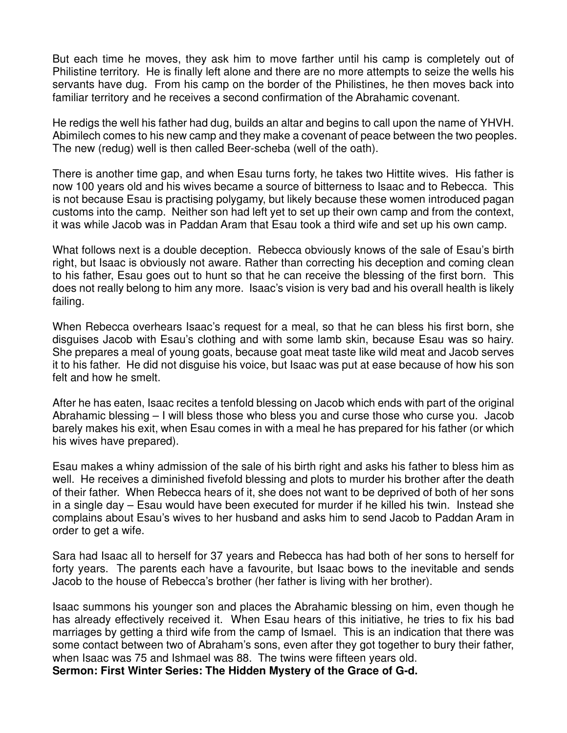But each time he moves, they ask him to move farther until his camp is completely out of Philistine territory. He is finally left alone and there are no more attempts to seize the wells his servants have dug. From his camp on the border of the Philistines, he then moves back into familiar territory and he receives a second confirmation of the Abrahamic covenant.

He redigs the well his father had dug, builds an altar and begins to call upon the name of YHVH. Abimilech comes to his new camp and they make a covenant of peace between the two peoples. The new (redug) well is then called Beer-scheba (well of the oath).

There is another time gap, and when Esau turns forty, he takes two Hittite wives. His father is now 100 years old and his wives became a source of bitterness to Isaac and to Rebecca. This is not because Esau is practising polygamy, but likely because these women introduced pagan customs into the camp. Neither son had left yet to set up their own camp and from the context, it was while Jacob was in Paddan Aram that Esau took a third wife and set up his own camp.

What follows next is a double deception. Rebecca obviously knows of the sale of Esau's birth right, but Isaac is obviously not aware. Rather than correcting his deception and coming clean to his father, Esau goes out to hunt so that he can receive the blessing of the first born. This does not really belong to him any more. Isaac's vision is very bad and his overall health is likely failing.

When Rebecca overhears Isaac's request for a meal, so that he can bless his first born, she disguises Jacob with Esau's clothing and with some lamb skin, because Esau was so hairy. She prepares a meal of young goats, because goat meat taste like wild meat and Jacob serves it to his father. He did not disguise his voice, but Isaac was put at ease because of how his son felt and how he smelt.

After he has eaten, Isaac recites a tenfold blessing on Jacob which ends with part of the original Abrahamic blessing – I will bless those who bless you and curse those who curse you. Jacob barely makes his exit, when Esau comes in with a meal he has prepared for his father (or which his wives have prepared).

Esau makes a whiny admission of the sale of his birth right and asks his father to bless him as well. He receives a diminished fivefold blessing and plots to murder his brother after the death of their father. When Rebecca hears of it, she does not want to be deprived of both of her sons in a single day – Esau would have been executed for murder if he killed his twin. Instead she complains about Esau's wives to her husband and asks him to send Jacob to Paddan Aram in order to get a wife.

Sara had Isaac all to herself for 37 years and Rebecca has had both of her sons to herself for forty years. The parents each have a favourite, but Isaac bows to the inevitable and sends Jacob to the house of Rebecca's brother (her father is living with her brother).

Isaac summons his younger son and places the Abrahamic blessing on him, even though he has already effectively received it. When Esau hears of this initiative, he tries to fix his bad marriages by getting a third wife from the camp of Ismael. This is an indication that there was some contact between two of Abraham's sons, even after they got together to bury their father, when Isaac was 75 and Ishmael was 88. The twins were fifteen years old. **Sermon: First Winter Series: The Hidden Mystery of the Grace of G-d.**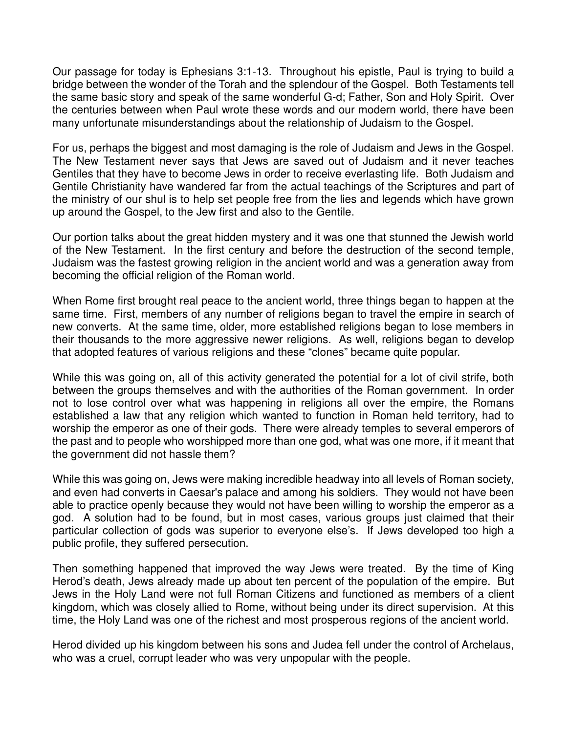Our passage for today is Ephesians 3:1-13. Throughout his epistle, Paul is trying to build a bridge between the wonder of the Torah and the splendour of the Gospel. Both Testaments tell the same basic story and speak of the same wonderful G-d; Father, Son and Holy Spirit. Over the centuries between when Paul wrote these words and our modern world, there have been many unfortunate misunderstandings about the relationship of Judaism to the Gospel.

For us, perhaps the biggest and most damaging is the role of Judaism and Jews in the Gospel. The New Testament never says that Jews are saved out of Judaism and it never teaches Gentiles that they have to become Jews in order to receive everlasting life. Both Judaism and Gentile Christianity have wandered far from the actual teachings of the Scriptures and part of the ministry of our shul is to help set people free from the lies and legends which have grown up around the Gospel, to the Jew first and also to the Gentile.

Our portion talks about the great hidden mystery and it was one that stunned the Jewish world of the New Testament. In the first century and before the destruction of the second temple, Judaism was the fastest growing religion in the ancient world and was a generation away from becoming the official religion of the Roman world.

When Rome first brought real peace to the ancient world, three things began to happen at the same time. First, members of any number of religions began to travel the empire in search of new converts. At the same time, older, more established religions began to lose members in their thousands to the more aggressive newer religions. As well, religions began to develop that adopted features of various religions and these "clones" became quite popular.

While this was going on, all of this activity generated the potential for a lot of civil strife, both between the groups themselves and with the authorities of the Roman government. In order not to lose control over what was happening in religions all over the empire, the Romans established a law that any religion which wanted to function in Roman held territory, had to worship the emperor as one of their gods. There were already temples to several emperors of the past and to people who worshipped more than one god, what was one more, if it meant that the government did not hassle them?

While this was going on, Jews were making incredible headway into all levels of Roman society, and even had converts in Caesar's palace and among his soldiers. They would not have been able to practice openly because they would not have been willing to worship the emperor as a god. A solution had to be found, but in most cases, various groups just claimed that their particular collection of gods was superior to everyone else's. If Jews developed too high a public profile, they suffered persecution.

Then something happened that improved the way Jews were treated. By the time of King Herod's death, Jews already made up about ten percent of the population of the empire. But Jews in the Holy Land were not full Roman Citizens and functioned as members of a client kingdom, which was closely allied to Rome, without being under its direct supervision. At this time, the Holy Land was one of the richest and most prosperous regions of the ancient world.

Herod divided up his kingdom between his sons and Judea fell under the control of Archelaus, who was a cruel, corrupt leader who was very unpopular with the people.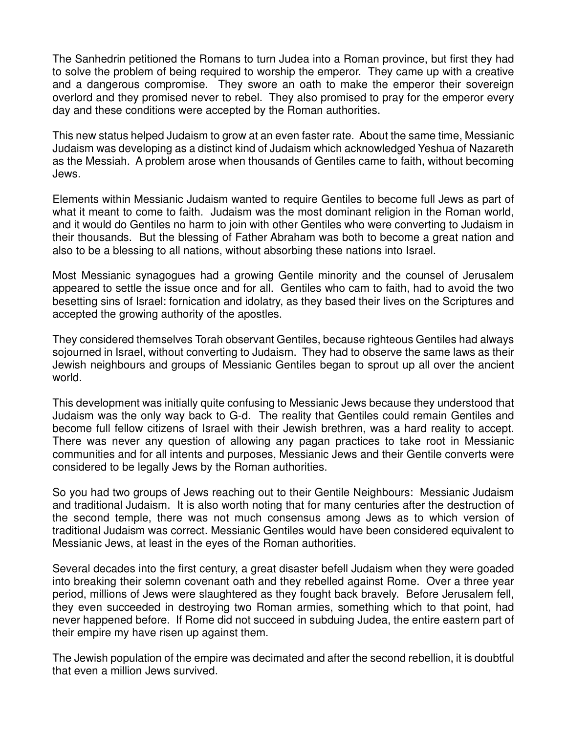The Sanhedrin petitioned the Romans to turn Judea into a Roman province, but first they had to solve the problem of being required to worship the emperor. They came up with a creative and a dangerous compromise. They swore an oath to make the emperor their sovereign overlord and they promised never to rebel. They also promised to pray for the emperor every day and these conditions were accepted by the Roman authorities.

This new status helped Judaism to grow at an even faster rate. About the same time, Messianic Judaism was developing as a distinct kind of Judaism which acknowledged Yeshua of Nazareth as the Messiah. A problem arose when thousands of Gentiles came to faith, without becoming Jews.

Elements within Messianic Judaism wanted to require Gentiles to become full Jews as part of what it meant to come to faith. Judaism was the most dominant religion in the Roman world, and it would do Gentiles no harm to join with other Gentiles who were converting to Judaism in their thousands. But the blessing of Father Abraham was both to become a great nation and also to be a blessing to all nations, without absorbing these nations into Israel.

Most Messianic synagogues had a growing Gentile minority and the counsel of Jerusalem appeared to settle the issue once and for all. Gentiles who cam to faith, had to avoid the two besetting sins of Israel: fornication and idolatry, as they based their lives on the Scriptures and accepted the growing authority of the apostles.

They considered themselves Torah observant Gentiles, because righteous Gentiles had always sojourned in Israel, without converting to Judaism. They had to observe the same laws as their Jewish neighbours and groups of Messianic Gentiles began to sprout up all over the ancient world.

This development was initially quite confusing to Messianic Jews because they understood that Judaism was the only way back to G-d. The reality that Gentiles could remain Gentiles and become full fellow citizens of Israel with their Jewish brethren, was a hard reality to accept. There was never any question of allowing any pagan practices to take root in Messianic communities and for all intents and purposes, Messianic Jews and their Gentile converts were considered to be legally Jews by the Roman authorities.

So you had two groups of Jews reaching out to their Gentile Neighbours: Messianic Judaism and traditional Judaism. It is also worth noting that for many centuries after the destruction of the second temple, there was not much consensus among Jews as to which version of traditional Judaism was correct. Messianic Gentiles would have been considered equivalent to Messianic Jews, at least in the eyes of the Roman authorities.

Several decades into the first century, a great disaster befell Judaism when they were goaded into breaking their solemn covenant oath and they rebelled against Rome. Over a three year period, millions of Jews were slaughtered as they fought back bravely. Before Jerusalem fell, they even succeeded in destroying two Roman armies, something which to that point, had never happened before. If Rome did not succeed in subduing Judea, the entire eastern part of their empire my have risen up against them.

The Jewish population of the empire was decimated and after the second rebellion, it is doubtful that even a million Jews survived.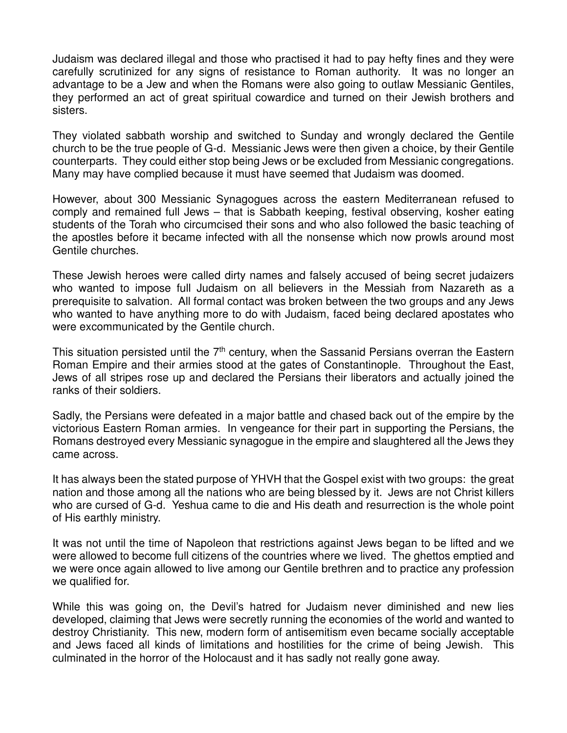Judaism was declared illegal and those who practised it had to pay hefty fines and they were carefully scrutinized for any signs of resistance to Roman authority. It was no longer an advantage to be a Jew and when the Romans were also going to outlaw Messianic Gentiles, they performed an act of great spiritual cowardice and turned on their Jewish brothers and sisters.

They violated sabbath worship and switched to Sunday and wrongly declared the Gentile church to be the true people of G-d. Messianic Jews were then given a choice, by their Gentile counterparts. They could either stop being Jews or be excluded from Messianic congregations. Many may have complied because it must have seemed that Judaism was doomed.

However, about 300 Messianic Synagogues across the eastern Mediterranean refused to comply and remained full Jews – that is Sabbath keeping, festival observing, kosher eating students of the Torah who circumcised their sons and who also followed the basic teaching of the apostles before it became infected with all the nonsense which now prowls around most Gentile churches.

These Jewish heroes were called dirty names and falsely accused of being secret judaizers who wanted to impose full Judaism on all believers in the Messiah from Nazareth as a prerequisite to salvation. All formal contact was broken between the two groups and any Jews who wanted to have anything more to do with Judaism, faced being declared apostates who were excommunicated by the Gentile church.

This situation persisted until the  $7<sup>th</sup>$  century, when the Sassanid Persians overran the Eastern Roman Empire and their armies stood at the gates of Constantinople. Throughout the East, Jews of all stripes rose up and declared the Persians their liberators and actually joined the ranks of their soldiers.

Sadly, the Persians were defeated in a major battle and chased back out of the empire by the victorious Eastern Roman armies. In vengeance for their part in supporting the Persians, the Romans destroyed every Messianic synagogue in the empire and slaughtered all the Jews they came across.

It has always been the stated purpose of YHVH that the Gospel exist with two groups: the great nation and those among all the nations who are being blessed by it. Jews are not Christ killers who are cursed of G-d. Yeshua came to die and His death and resurrection is the whole point of His earthly ministry.

It was not until the time of Napoleon that restrictions against Jews began to be lifted and we were allowed to become full citizens of the countries where we lived. The ghettos emptied and we were once again allowed to live among our Gentile brethren and to practice any profession we qualified for.

While this was going on, the Devil's hatred for Judaism never diminished and new lies developed, claiming that Jews were secretly running the economies of the world and wanted to destroy Christianity. This new, modern form of antisemitism even became socially acceptable and Jews faced all kinds of limitations and hostilities for the crime of being Jewish. This culminated in the horror of the Holocaust and it has sadly not really gone away.